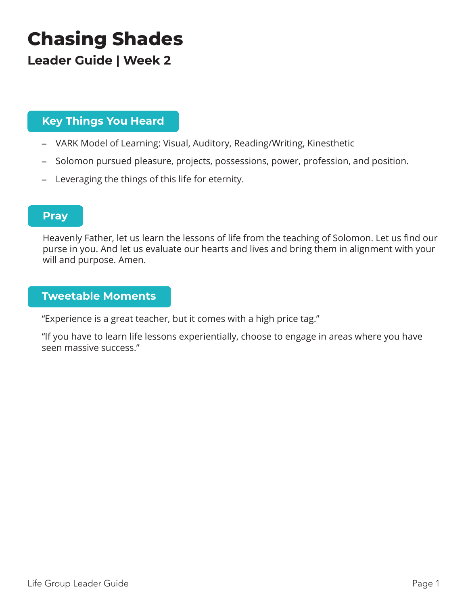# **Chasing Shades**

## **Leader Guide | Week 2**

### **Key Things You Heard**

- VARK Model of Learning: Visual, Auditory, Reading/Writing, Kinesthetic
- Solomon pursued pleasure, projects, possessions, power, profession, and position.
- Leveraging the things of this life for eternity.

### **Pray**

Heavenly Father, let us learn the lessons of life from the teaching of Solomon. Let us find our purse in you. And let us evaluate our hearts and lives and bring them in alignment with your will and purpose. Amen.

#### **Tweetable Moments**

"Experience is a great teacher, but it comes with a high price tag."

"If you have to learn life lessons experientially, choose to engage in areas where you have seen massive success."